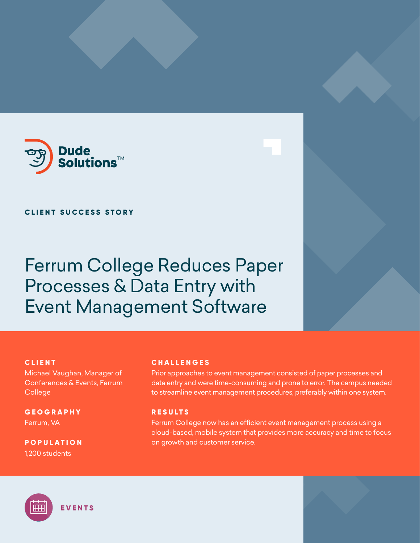

## **CLIENT SUCCESS STORY**

Ferrum College Reduces Paper Processes & Data Entry with Event Management Software

## **CLIENT**

Michael Vaughan, Manager of Conferences & Events, Ferrum College

**GEOGRAPHY** Ferrum, VA

**POPULATION** 1,200 students

## **CHALLENGES**

Prior approaches to event management consisted of paper processes and data entry and were time-consuming and prone to error. The campus needed to streamline event management procedures, preferably within one system.

## **RESULTS**

Ferrum College now has an efficient event management process using a cloud-based, mobile system that provides more accuracy and time to focus on growth and customer service.

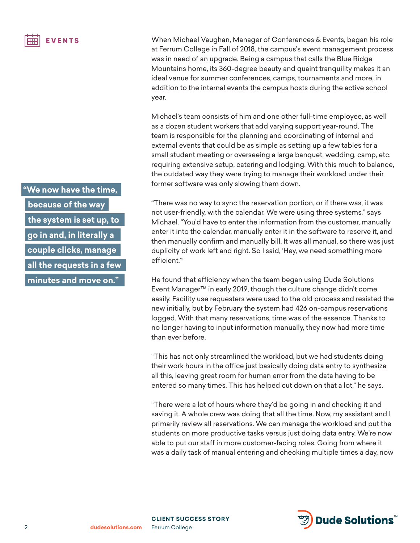**"We now have the time, because of the way the system is set up, to go in and, in literally a couple clicks, manage all the requests in a few minutes and move on."**

When Michael Vaughan, Manager of Conferences & Events, began his role at Ferrum College in Fall of 2018, the campus's event management process was in need of an upgrade. Being a campus that calls the Blue Ridge Mountains home, its 360-degree beauty and quaint tranquility makes it an ideal venue for summer conferences, camps, tournaments and more, in addition to the internal events the campus hosts during the active school year.

Michael's team consists of him and one other full-time employee, as well as a dozen student workers that add varying support year-round. The team is responsible for the planning and coordinating of internal and external events that could be as simple as setting up a few tables for a small student meeting or overseeing a large banquet, wedding, camp, etc. requiring extensive setup, catering and lodging. With this much to balance, the outdated way they were trying to manage their workload under their former software was only slowing them down.

"There was no way to sync the reservation portion, or if there was, it was not user-friendly, with the calendar. We were using three systems," says Michael. "You'd have to enter the information from the customer, manually enter it into the calendar, manually enter it in the software to reserve it, and then manually confirm and manually bill. It was all manual, so there was just duplicity of work left and right. So I said, 'Hey, we need something more efficient.'"

He found that efficiency when the team began using Dude Solutions Event Manager™ in early 2019, though the culture change didn't come easily. Facility use requesters were used to the old process and resisted the new initially, but by February the system had 426 on-campus reservations logged. With that many reservations, time was of the essence. Thanks to no longer having to input information manually, they now had more time than ever before.

"This has not only streamlined the workload, but we had students doing their work hours in the office just basically doing data entry to synthesize all this, leaving great room for human error from the data having to be entered so many times. This has helped cut down on that a lot," he says.

"There were a lot of hours where they'd be going in and checking it and saving it. A whole crew was doing that all the time. Now, my assistant and I primarily review all reservations. We can manage the workload and put the students on more productive tasks versus just doing data entry. We're now able to put our staff in more customer-facing roles. Going from where it was a daily task of manual entering and checking multiple times a day, now

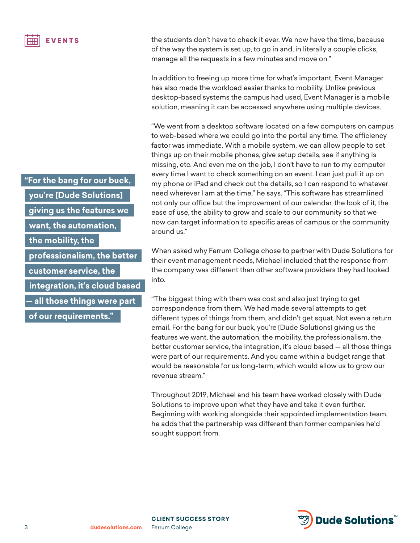**"For the bang for our buck,** 

**you're [Dude Solutions]** 

**giving us the features we** 

**want, the automation,** 

**the mobility, the** 

**professionalism, the better** 

**customer service, the** 

**integration, it's cloud based** 

**— all those things were part** 

**of our requirements."**

the students don't have to check it ever. We now have the time, because of the way the system is set up, to go in and, in literally a couple clicks, manage all the requests in a few minutes and move on."

In addition to freeing up more time for what's important, Event Manager has also made the workload easier thanks to mobility. Unlike previous desktop-based systems the campus had used, Event Manager is a mobile solution, meaning it can be accessed anywhere using multiple devices.

"We went from a desktop software located on a few computers on campus to web-based where we could go into the portal any time. The efficiency factor was immediate. With a mobile system, we can allow people to set things up on their mobile phones, give setup details, see if anything is missing, etc. And even me on the job, I don't have to run to my computer every time I want to check something on an event. I can just pull it up on my phone or iPad and check out the details, so I can respond to whatever need wherever I am at the time," he says. "This software has streamlined not only our office but the improvement of our calendar, the look of it, the ease of use, the ability to grow and scale to our community so that we now can target information to specific areas of campus or the community around us."

When asked why Ferrum College chose to partner with Dude Solutions for their event management needs, Michael included that the response from the company was different than other software providers they had looked into.

"The biggest thing with them was cost and also just trying to get correspondence from them. We had made several attempts to get different types of things from them, and didn't get squat. Not even a return email. For the bang for our buck, you're [Dude Solutions] giving us the features we want, the automation, the mobility, the professionalism, the better customer service, the integration, it's cloud based — all those things were part of our requirements. And you came within a budget range that would be reasonable for us long-term, which would allow us to grow our revenue stream."

Throughout 2019, Michael and his team have worked closely with Dude Solutions to improve upon what they have and take it even further. Beginning with working alongside their appointed implementation team, he adds that the partnership was different than former companies he'd sought support from.